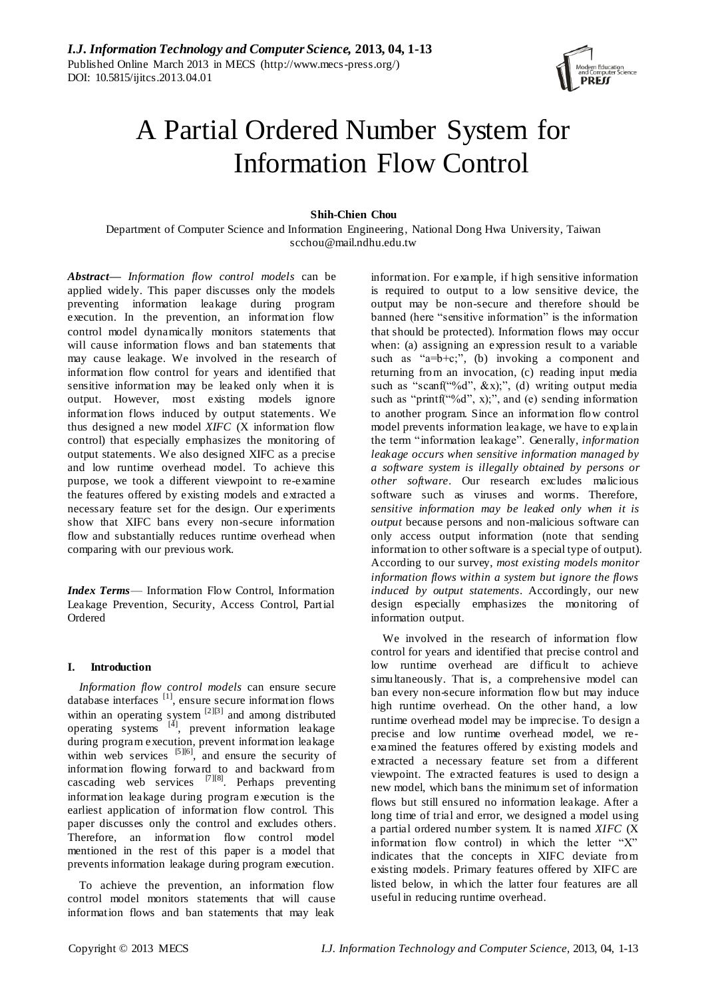

# A Partial Ordered Number System for Information Flow Control

# **Shih-Chien Chou**

Department of Computer Science and Information Engineering, National Dong Hwa University, Taiwan scchou@mail.ndhu.edu.tw

*Abstract***—** *Information flow control models* can be applied widely. This paper discusses only the models preventing information leakage during program execution. In the prevention, an information flow control model dynamically monitors statements that will cause information flows and ban statements that may cause leakage. We involved in the research of information flow control for years and identified that sensitive information may be leaked only when it is output. However, most existing models ignore information flows induced by output statements. We thus designed a new model *XIFC* (X information flow control) that especially emphasizes the monitoring of output statements. We also designed XIFC as a precise and low runtime overhead model. To achieve this purpose, we took a different viewpoint to re-examine the features offered by existing models and extracted a necessary feature set for the design. Our experiments show that XIFC bans every non-secure information flow and substantially reduces runtime overhead when comparing with our previous work.

*Index Terms*— Information Flow Control, Information Leakage Prevention, Security, Access Control, Partial Ordered

# **I. Introduction**

*Information flow control models* can ensure secure database interfaces <sup>[1]</sup>, ensure secure information flows within an operating system <sup>[2][3]</sup> and among distributed operating systems  $[4]$ , prevent information leakage during program execution, prevent information leakage within web services  $[5][6]$ , and ensure the security of information flowing forward to and backward from cascading web services  $[7]$ [8]. Perhaps preventing information leakage during program execution is the earliest application of information flow control. This paper discusses only the control and excludes others. Therefore, an information flow control model mentioned in the rest of this paper is a model that prevents information leakage during program execution.

To achieve the prevention, an information flow control model monitors statements that will cause information flows and ban statements that may leak information. For example, if high sensitive information is required to output to a low sensitive device, the output may be non-secure and therefore should be banned (here "sensitive information" is the information that should be protected). Information flows may occur when: (a) assigning an expression result to a variable such as " $a=b+c$ ;", (b) invoking a component and returning from an invocation, (c) reading input media such as "scanf("%d",  $&x$ );", (d) writing output media such as  $\frac{32}{2}$ ;  $\frac{32}{2}$ ;  $\frac{32}{2}$ ;  $\frac{32}{2}$ ;  $\frac{32}{2}$ ;  $\frac{32}{2}$ ;  $\frac{32}{2}$ ;  $\frac{32}{2}$ ;  $\frac{32}{2}$ ;  $\frac{32}{2}$ ;  $\frac{32}{2}$ ;  $\frac{32}{2}$ ;  $\frac{32}{2}$ ;  $\frac{32}{2}$ ;  $\frac{32}{2}$ ;  $\frac{32}{2}$ ;  $\frac{32}{2}$ ;  $\frac{32}{2}$ to another program. Since an information flow control model prevents information leakage, we have to explain the term "information leakage". Generally, *information leakage occurs when sensitive information managed by a software system is illegally obtained by persons or other software*. Our research excludes malicious software such as viruses and worms. Therefore, *sensitive information may be leaked only when it is output* because persons and non-malicious software can only access output information (note that sending information to other software is a special type of output). According to our survey, *most existing models monitor information flows within a system but ignore the flows induced by output statements*. Accordingly, our new design especially emphasizes the monitoring of information output.

We involved in the research of information flow control for years and identified that precise control and low runtime overhead are difficult to achieve simultaneously. That is, a comprehensive model can ban every non-secure information flow but may induce high runtime overhead. On the other hand, a low runtime overhead model may be imprecise. To design a precise and low runtime overhead model, we reexamined the features offered by existing models and extracted a necessary feature set from a different viewpoint. The extracted features is used to design a new model, which bans the minimum set of information flows but still ensured no information leakage. After a long time of trial and error, we designed a model using a partial ordered number system. It is named *XIFC* (X information flow control) in which the letter  $"X"$ indicates that the concepts in XIFC deviate from existing models. Primary features offered by XIFC are listed below, in which the latter four features are all useful in reducing runtime overhead.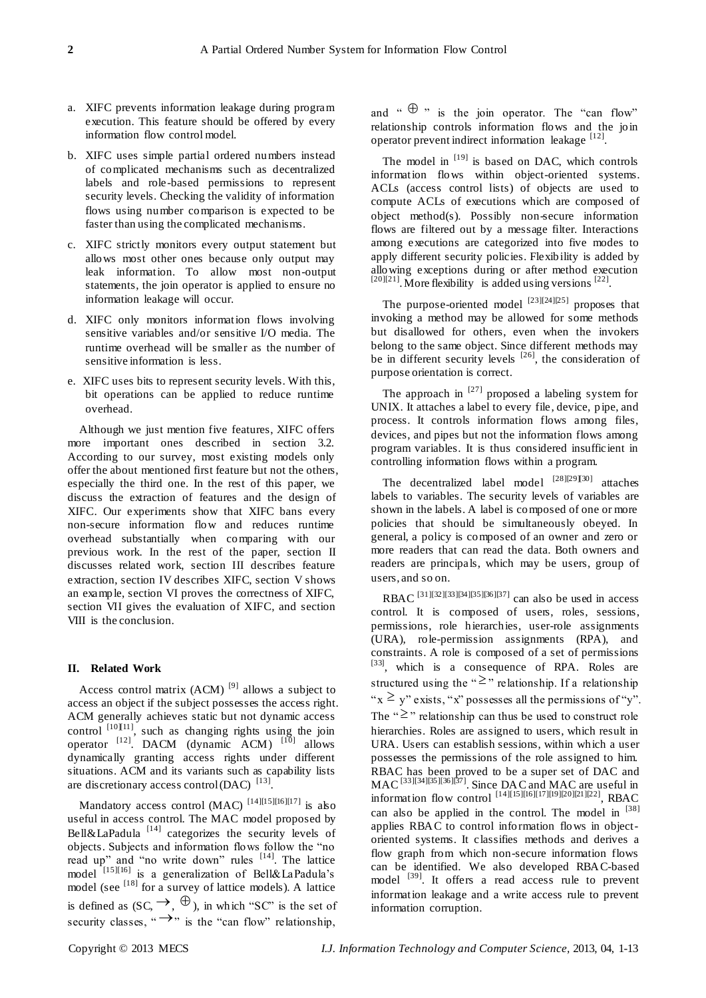- a. XIFC prevents information leakage during program execution. This feature should be offered by every information flow control model.
- b. XIFC uses simple partial ordered numbers instead of complicated mechanisms such as decentralized labels and role -based permissions to represent security levels. Checking the validity of information flows using number comparison is expected to be faster than using the complicated mechanisms.
- c. XIFC strictly monitors every output statement but allows most other ones because only output may leak information. To allow most non-output statements, the join operator is applied to ensure no information leakage will occur.
- d. XIFC only monitors information flows involving sensitive variables and/or sensitive I/O media. The runtime overhead will be smaller as the number of sensitive information is less.
- e. XIFC uses bits to represent security levels. With this, bit operations can be applied to reduce runtime overhead.

Although we just mention five features, XIFC offers more important ones described in section 3.2. According to our survey, most existing models only offer the about mentioned first feature but not the others, especially the third one. In the rest of this paper, we discuss the extraction of features and the design of XIFC. Our experiments show that XIFC bans every non-secure information flow and reduces runtime overhead substantially when comparing with our previous work. In the rest of the paper, section II discusses related work, section III describes feature extraction, section IV describes XIFC, section V shows an example, section VI proves the correctness of XIFC, section VII gives the evaluation of XIFC, and section VIII is the conclusion.

# **II. Related Work**

Access control matrix  $(ACM)$ <sup>[9]</sup> allows a subject to access an object if the subject possesses the access right. ACM generally achieves static but not dynamic access control  $[10]$ <sup>[10][11]</sup>, such as changing rights using the join operator  $^{[12]}$ . DACM (dynamic ACM)  $^{[10]}$  allows dynamically granting access rights under different situations. ACM and its variants such as capability lists are discretionary access control  $(DAC)^{[13]}$ .

Mandatory access control (MAC)  $^{[14][15][16][17]}$  is also useful in access control. The MAC model proposed by Bell&LaPadula<sup>[14]</sup> categorizes the security levels of objects. Subjects and information flows follow the "no read up" and "no write down" rules  $[14]$ . The lattice model  $^{[15][16]}$  is a generalization of Bell&LaPadula's model (see  $^{[18]}$  for a survey of lattice models). A lattice is defined as  $(\text{SC}, \rightarrow, \oplus)$ , in which "SC" is the set of security classes,  $\rightarrow$  is the "can flow" relationship,

and  $\theta$   $\theta$   $\theta$  is the join operator. The "can flow" relationship controls information flows and the join operator prevent indirect information leakage [12].

The model in  $[19]$  is based on DAC, which controls information flows within object-oriented systems. ACLs (access control lists) of objects are used to compute ACLs of executions which are composed of object method(s). Possibly non-secure information flows are filtered out by a message filter. Interactions among executions are categorized into five modes to apply different security policies. Flexibility is added by allowing exceptions during or after method execution  $^{[20][21]}$ . More flexibility is added using versions  $^{[22]}$ .

The purpose-oriented model  $^{[23][24][25]}$  proposes that invoking a method may be allowed for some methods but disallowed for others, even when the invokers belong to the same object. Since different methods may be in different security levels  $[26]$ , the consideration of purpose orientation is correct.

The approach in  $[27]$  proposed a labeling system for UNIX. It attaches a label to every file, device, pipe, and process. It controls information flows among files, devices, and pipes but not the information flows among program variables. It is thus considered insufficient in controlling information flows within a program.

The decentralized label model  $[28][29][30]$  attaches labels to variables. The security levels of variables are shown in the labels. A label is composed of one or more policies that should be simultaneously obeyed. In general, a policy is composed of an owner and zero or more readers that can read the data. Both owners and readers are principals, which may be users, group of users, and so on.

RBAC [31][32][33][34][35][36][37] can also be used in access control. It is composed of users, roles, sessions, permissions, role hierarchies, user-role assignments (URA), role-permission assignments (RPA), and constraints. A role is composed of a set of permissions [33], which is a consequence of RPA. Roles are structured using the " $\geq$ " relationship. If a relationship " $x \geq y$ " exists, "x" possesses all the permissions of "y". The " $\geq$ " relationship can thus be used to construct role hierarchies. Roles are assigned to users, which result in URA. Users can establish sessions, within which a user possesses the permissions of the role assigned to him. RBAC has been proved to be a super set of DAC and  $MAC^{[33][34][35][36][37]}$ . Since DAC and MAC are useful in information flow control  $^{[14][15][16][17][19][20][21][22]}$ , RBAC can also be applied in the control. The model in  $[38]$ applies RBAC to control information flows in objectoriented systems. It classifies methods and derives a flow graph from which non-secure information flows can be identified. We also developed RBAC-based model <sup>[39]</sup>. It offers a read access rule to prevent information leakage and a write access rule to prevent information corruption.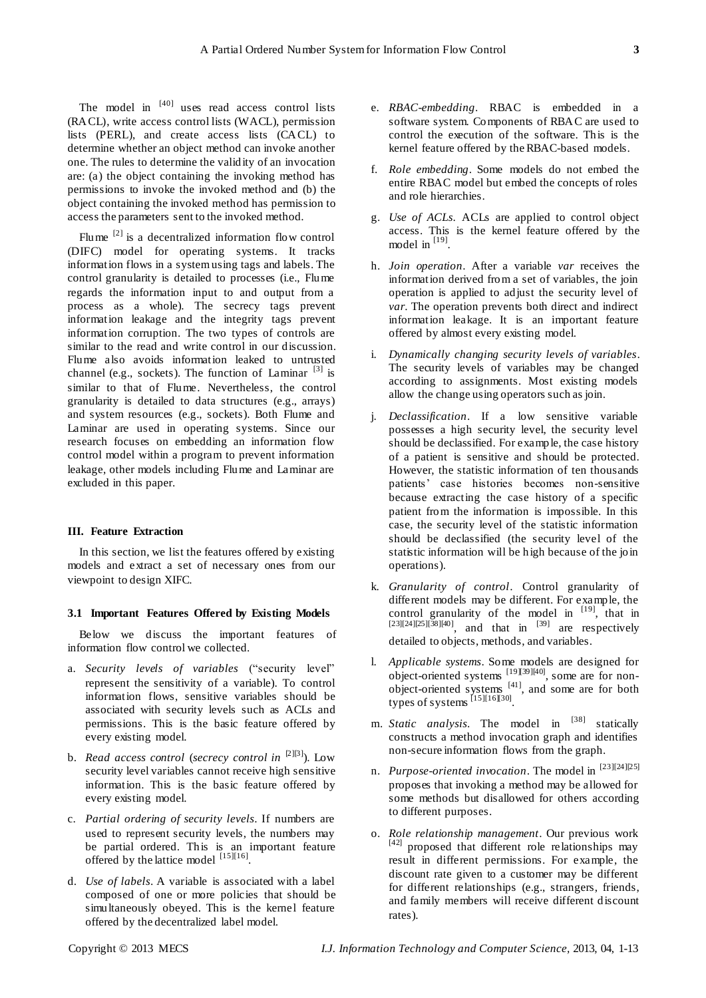The model in  $[40]$  uses read access control lists (RACL), write access control lists (WACL), permission lists (PERL), and create access lists (CACL) to determine whether an object method can invoke another one. The rules to determine the validity of an invocation are: (a) the object containing the invoking method has permissions to invoke the invoked method and (b) the object containing the invoked method has permission to access the parameters sent to the invoked method.

Flume  $[2]$  is a decentralized information flow control (DIFC) model for operating systems. It tracks information flows in a system using tags and labels. The control granularity is detailed to processes (i.e., Flume regards the information input to and output from a process as a whole). The secrecy tags prevent information leakage and the integrity tags prevent information corruption. The two types of controls are similar to the read and write control in our discussion. Flume also avoids information leaked to untrusted channel (e.g., sockets). The function of Laminar  $^{[3]}$  is similar to that of Flume. Nevertheless, the control granularity is detailed to data structures (e.g., arrays) and system resources (e.g., sockets). Both Flume and Laminar are used in operating systems. Since our research focuses on embedding an information flow control model within a program to prevent information leakage, other models including Flume and Laminar are excluded in this paper.

## **III. Feature Extraction**

In this section, we list the features offered by existing models and extract a set of necessary ones from our viewpoint to design XIFC.

## **3.1 Important Features Offered by Existing Models**

Below we discuss the important features of information flow control we collected.

- a. Security levels of variables ("security level" represent the sensitivity of a variable). To control information flows, sensitive variables should be associated with security levels such as ACLs and permissions. This is the basic feature offered by every existing model.
- b. *Read access control* (*secrecy control in* [2][3]). Low security level variables cannot receive high sensitive information. This is the basic feature offered by every existing model.
- c. *Partial ordering of security levels*. If numbers are used to represent security levels, the numbers may be partial ordered. This is an important feature offered by the lattice model  $^{[15][16]}$ .
- d. *Use of labels*. A variable is associated with a label composed of one or more policies that should be simultaneously obeyed. This is the kernel feature offered by the decentralized label model.
- e. *RBAC-embedding*. RBAC is embedded in a software system. Components of RBAC are used to control the execution of the software. This is the kernel feature offered by the RBAC-based models.
- f. *Role embedding*. Some models do not embed the entire RBAC model but embed the concepts of roles and role hierarchies.
- g. *Use of ACLs*. ACLs are applied to control object access. This is the kernel feature offered by the model in  $^{[19]}$ .
- h. *Join operation*. After a variable *var* receives the information derived from a set of variables, the join operation is applied to adjust the security level of *var*. The operation prevents both direct and indirect information leakage. It is an important feature offered by almost every existing model.
- i. *Dynamically changing security levels of variables*. The security levels of variables may be changed according to assignments. Most existing models allow the change using operators such as join.
- j. *Declassification*. If a low sensitive variable possesses a high security level, the security level should be declassified. For example, the case history of a patient is sensitive and should be protected. However, the statistic information of ten thousands patients' case histories becomes non-sensitive because extracting the case history of a specific patient from the information is impossible. In this case, the security level of the statistic information should be declassified (the security level of the statistic information will be high because of the join operations).
- k. *Granularity of control*. Control granularity of different models may be different. For example, the control granularity of the model in  $[19]$ , that in  $[23][24][25][38][40]$ , and that in  $[39]$  are respectively detailed to objects, methods, and variables.
- l. *Applicable systems*. Some models are designed for object-oriented systems [19][39][40], some are for nonobject-oriented systems [41], and some are for both types of systems  $^{[15][16][30]}$ .
- m. *Static analysis*. The model in <sup>[38]</sup> statically constructs a method invocation graph and identifies non-secure information flows from the graph.
- n. *Purpose-oriented invocation*. The model in [23][24][25] proposes that invoking a method may be allowed for some methods but disallowed for others according to different purposes.
- o. *Role relationship management*. Our previous work [42] proposed that different role relationships may result in different permissions. For example, the discount rate given to a customer may be different for different relationships (e.g., strangers, friends, and family members will receive different discount rates).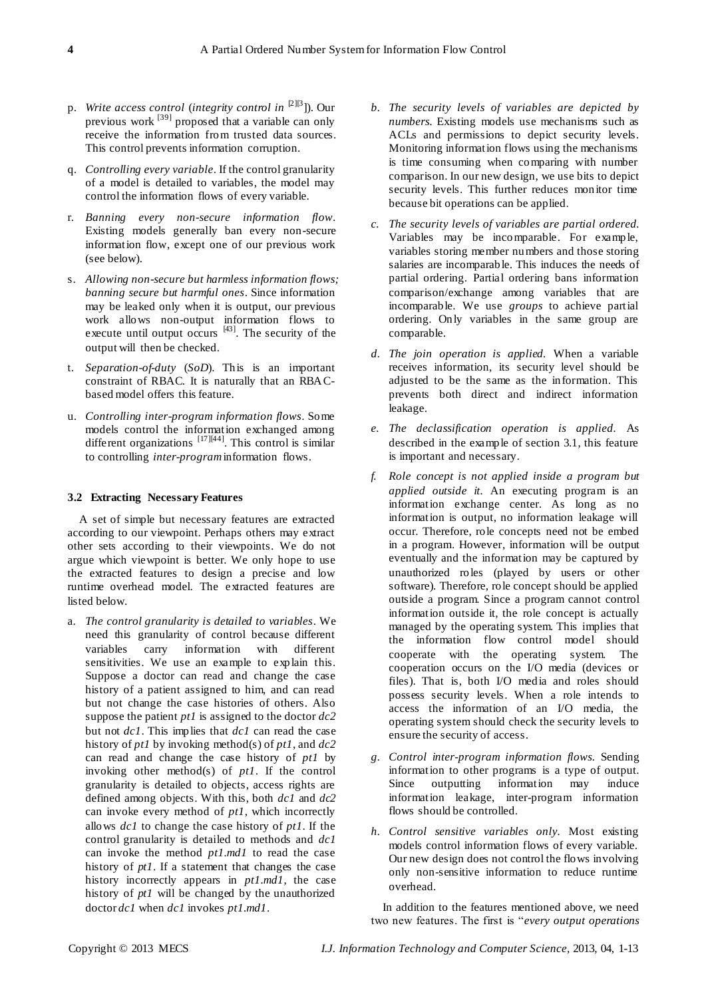- p. *Write access control* (*integrity control in* [2][3 ]). Our previous work [39] proposed that a variable can only receive the information from trusted data sources. This control prevents information corruption.
- q. *Controlling every variable*. If the control granularity of a model is detailed to variables, the model may control the information flows of every variable.
- r. *Banning every non-secure information flow*. Existing models generally ban every non-secure information flow, except one of our previous work (see below).
- s. *Allowing non-secure but harmless information flows; banning secure but harmful ones*. Since information may be leaked only when it is output, our previous work allows non-output information flows to execute until output occurs  $[43]$ . The security of the output will then be checked.
- t. *Separation-of-duty* (*SoD*). This is an important constraint of RBAC. It is naturally that an RBACbased model offers this feature.
- u. *Controlling inter-program information flows*. Some models control the information exchanged among different organizations  $\frac{[17][44]}{[17][44]}$ . This control is similar to controlling *inter-program*information flows.

# **3.2 Extracting Necessary Features**

A set of simple but necessary features are extracted according to our viewpoint. Perhaps others may extract other sets according to their viewpoints. We do not argue which viewpoint is better. We only hope to use the extracted features to design a precise and low runtime overhead model. The extracted features are listed below.

a. *The control granularity is detailed to variables*. We need this granularity of control because different variables carry information with different sensitivities. We use an example to explain this. Suppose a doctor can read and change the case history of a patient assigned to him, and can read but not change the case histories of others. Also suppose the patient *pt1* is assigned to the doctor *dc2* but not *dc1*. This implies that *dc1* can read the case history of *pt1* by invoking method(s) of *pt1*, and *dc2* can read and change the case history of *pt1* by invoking other method(s) of *pt1*. If the control granularity is detailed to objects, access rights are defined among objects. With this, both *dc1* and *dc2* can invoke every method of *pt1*, which incorrectly allows *dc1* to change the case history of *pt1*. If the control granularity is detailed to methods and *dc1* can invoke the method *pt1.md1* to read the case history of *pt1*. If a statement that changes the case history incorrectly appears in *pt1.md1*, the case history of *pt1* will be changed by the unauthorized doctor *dc1* when *dc1* invokes *pt1.md1*.

- *b. The security levels of variables are depicted by numbers.* Existing models use mechanisms such as ACLs and permissions to depict security levels. Monitoring information flows using the mechanisms is time consuming when comparing with number comparison. In our new design, we use bits to depict security levels. This further reduces monitor time because bit operations can be applied.
- *c. The security levels of variables are partial ordered.*  Variables may be incomparable. For example, variables storing member numbers and those storing salaries are incomparable. This induces the needs of partial ordering. Partial ordering bans information comparison/exchange among variables that are incomparable. We use *groups* to achieve partial ordering. Only variables in the same group are comparable.
- *d. The join operation is applied.* When a variable receives information, its security level should be adjusted to be the same as the information. This prevents both direct and indirect information leakage.
- *e. The declassification operation is applied.* As described in the example of section 3.1, this feature is important and necessary.
- *f. Role concept is not applied inside a program but applied outside it.* An executing program is an information exchange center. As long as no information is output, no information leakage will occur. Therefore, role concepts need not be embed in a program. However, information will be output eventually and the information may be captured by unauthorized roles (played by users or other software). Therefore, role concept should be applied outside a program. Since a program cannot control information outside it, the role concept is actually managed by the operating system. This implies that the information flow control model should cooperate with the operating system. The cooperation occurs on the I/O media (devices or files). That is, both I/O media and roles should possess security levels. When a role intends to access the information of an I/O media, the operating system should check the security levels to ensure the security of access.
- *g. Control inter-program information flows.* Sending information to other programs is a type of output. Since outputting information may induce information leakage, inter-program information flows should be controlled.
- *h. Control sensitive variables only.* Most existing models control information flows of every variable. Our new design does not control the flows involving only non-sensitive information to reduce runtime overhead.

In addition to the features mentioned above, we need two new features. The first is ―*every output operations*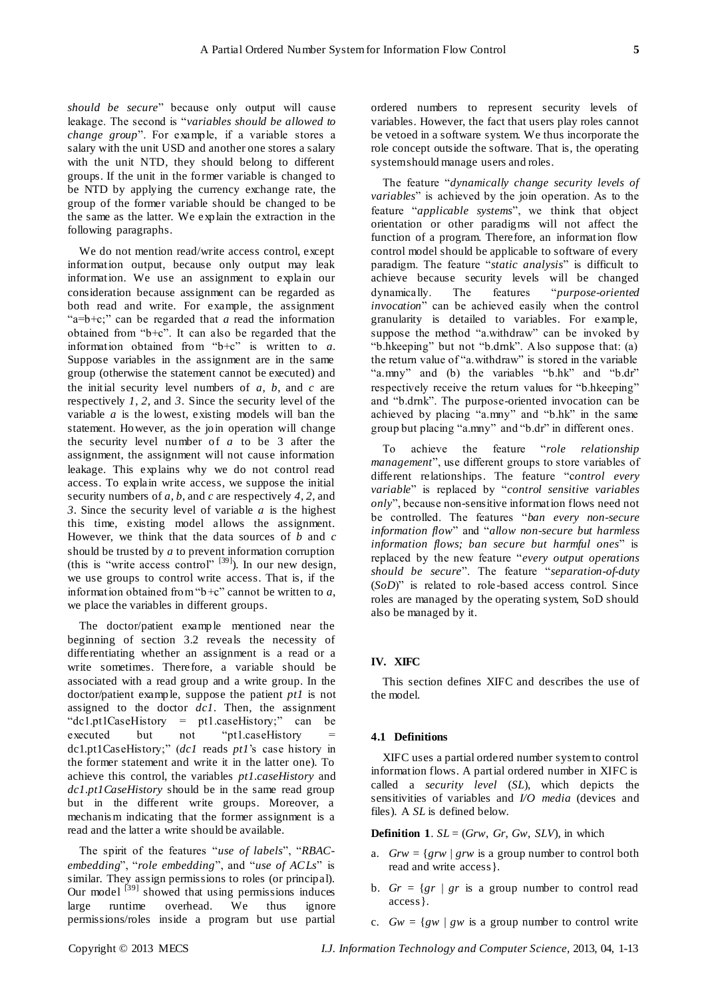should be secure" because only output will cause leakage. The second is "variables should be allowed to *change group*". For example, if a variable stores a salary with the unit USD and another one stores a salary with the unit NTD, they should belong to different groups. If the unit in the former variable is changed to be NTD by applying the currency exchange rate, the group of the former variable should be changed to be the same as the latter. We explain the extraction in the following paragraphs.

We do not mention read/write access control, except information output, because only output may leak information. We use an assignment to explain our consideration because assignment can be regarded as both read and write. For example, the assignment " $a=b+c$ ;" can be regarded that *a* read the information obtained from " $b+c$ ". It can also be regarded that the information obtained from " $b+c$ " is written to *a*. Suppose variables in the assignment are in the same group (otherwise the statement cannot be executed) and the initial security level numbers of *a*, *b*, and *c* are respectively *1*, *2*, and *3*. Since the security level of the variable *a* is the lowest, existing models will ban the statement. However, as the join operation will change the security level number of *a* to be 3 after the assignment, the assignment will not cause information leakage. This explains why we do not control read access. To explain write access, we suppose the initial security numbers of *a*, *b*, and *c* are respectively *4*, *2*, and *3*. Since the security level of variable *a* is the highest this time, existing model allows the assignment. However, we think that the data sources of *b* and *c* should be trusted by *a* to prevent information corruption (this is "write access control"  $[39]$ ). In our new design, we use groups to control write access. That is, if the information obtained from " $b+c$ " cannot be written to *a*, we place the variables in different groups.

The doctor/patient example mentioned near the beginning of section 3.2 reveals the necessity of differentiating whether an assignment is a read or a write sometimes. Therefore, a variable should be associated with a read group and a write group. In the doctor/patient example, suppose the patient *pt1* is not assigned to the doctor *dc1*. Then, the assignment "dc1.pt1CaseHistory = pt1.caseHistory;" can be executed but not "pt1.caseHistory dc1.pt1CaseHistory;‖ (*dc1* reads *pt1*'s case history in the former statement and write it in the latter one). To achieve this control, the variables *pt1.caseHistory* and *dc1.pt1CaseHistory* should be in the same read group but in the different write groups. Moreover, a mechanis m indicating that the former assignment is a read and the latter a write should be available.

The spirit of the features "use of labels", "RBACembedding", "role embedding", and "use of ACLs" is similar. They assign permissions to roles (or principal). Our model  $^{[39]}$  showed that using permissions induces large runtime overhead. We thus ignore permissions/roles inside a program but use partial ordered numbers to represent security levels of variables. However, the fact that users play roles cannot be vetoed in a software system. We thus incorporate the role concept outside the software. That is, the operating system should manage users and roles.

The feature "*dynamically change security levels of variables*" is achieved by the join operation. As to the feature "*applicable systems*", we think that object orientation or other paradigms will not affect the function of a program. Therefore, an information flow control model should be applicable to software of every paradigm. The feature "static analysis" is difficult to achieve because security levels will be changed dynamically. The features ―*purpose-oriented invocation*‖ can be achieved easily when the control granularity is detailed to variables. For example, suppose the method "a.withdraw" can be invoked by "b.hkeeping" but not "b.drnk". Also suppose that: (a) the return value of "a.withdraw" is stored in the variable "a.mny" and (b) the variables "b.hk" and "b.dr" respectively receive the return values for "b.hkeeping" and "b.drnk". The purpose-oriented invocation can be achieved by placing "a.mny" and "b.hk" in the same group but placing "a.mny" and "b.dr" in different ones.

To achieve the feature "role relationship *management*", use different groups to store variables of different relationships. The feature "control every *variable*" is replaced by "*control sensitive variables only*", because non-sensitive information flows need not be controlled. The features "ban every non-secure information flow" and "allow non-secure but harmless information flows; ban secure but harmful ones" is replaced by the new feature "every output operations" *should be secure*‖. The feature ―*separation-of-duty*  (*SoD*)" is related to role-based access control. Since roles are managed by the operating system, SoD should also be managed by it.

## **IV. XIFC**

This section defines XIFC and describes the use of the model.

## **4.1 Definitions**

XIFC uses a partial ordered number system to control information flows. A partial ordered number in XIFC is called a *security level* (*SL*), which depicts the sensitivities of variables and *I/O media* (devices and files). A *SL* is defined below.

**Definition 1**.  $SL = (Grw, Gr, Gw, SLV)$ , in which

- a.  $Grw = \{grw \mid grw$  is a group number to control both read and write access}.
- b.  $Gr = \{gr \mid gr$  is a group number to control read access}.
- c.  $Gw = \{gw \mid gw \text{ is a group number to control write } \}$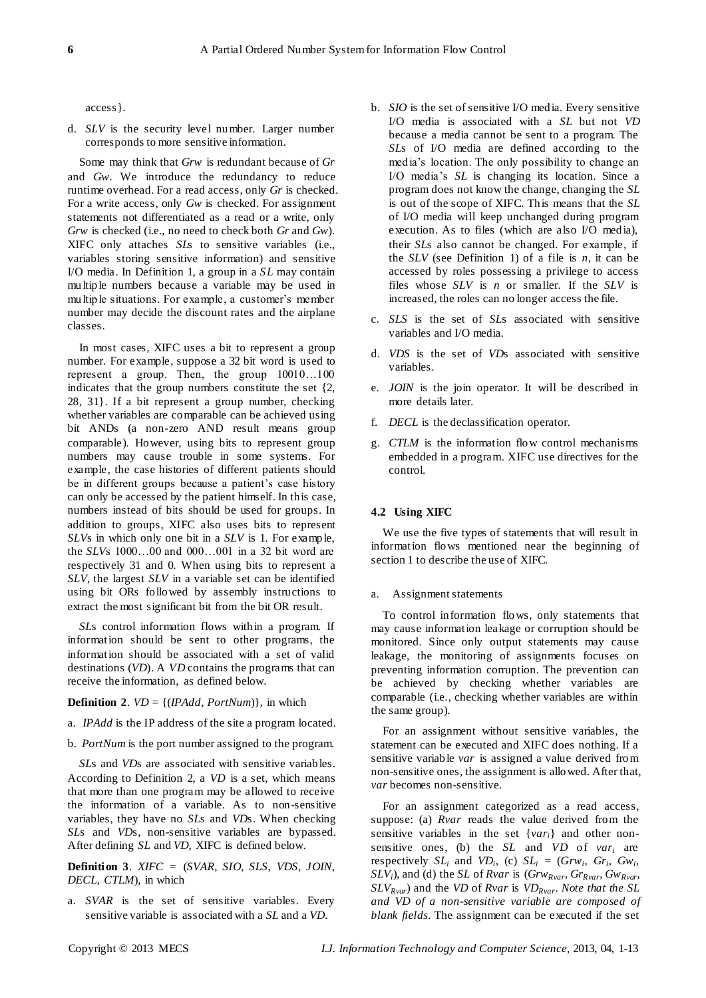access}.

d. *SLV* is the security level number. Larger number corresponds to more sensitive information.

Some may think that *Grw* is redundant because of *Gr* and *Gw*. We introduce the redundancy to reduce runtime overhead. For a read access, only *Gr* is checked. For a write access, only *Gw* is checked. For assignment statements not differentiated as a read or a write, only *Grw* is checked (i.e., no need to check both *Gr* and *Gw*). XIFC only attaches *SL*s to sensitive variables (i.e., variables storing sensitive information) and sensitive I/O media. In Definition 1, a group in a *SL* may contain multiple numbers because a variable may be used in multiple situations. For example, a customer's member number may decide the discount rates and the airplane classes.

In most cases, XIFC uses a bit to represent a group number. For example, suppose a 32 bit word is used to represent a group. Then, the group 10010…100 indicates that the group numbers constitute the set {2, 28, 31}. If a bit represent a group number, checking whether variables are comparable can be achieved using bit ANDs (a non-zero AND result means group comparable). However, using bits to represent group numbers may cause trouble in some systems. For example, the case histories of different patients should be in different groups because a patient's case history can only be accessed by the patient himself. In this case, numbers instead of bits should be used for groups. In addition to groups, XIFC also uses bits to represent *SLV*s in which only one bit in a *SLV* is 1. For example, the *SLV*s 1000…00 and 000…001 in a 32 bit word are respectively 31 and 0. When using bits to represent a *SLV*, the largest *SLV* in a variable set can be identified using bit ORs followed by assembly instructions to extract the most significant bit from the bit OR result.

*SL*s control information flows within a program. If information should be sent to other programs, the information should be associated with a set of valid destinations (*VD*). A *VD* contains the programs that can receive the information, as defined below.

**Definition 2.**  $VD = \{(IPAdd, PortNum)\},\$  in which

- a. *IPAdd* is the IP address of the site a program located.
- b. *PortNum* is the port number assigned to the program.

*SL*s and *VD*s are associated with sensitive variables. According to Definition 2, a *VD* is a set, which means that more than one program may be allowed to receive the information of a variable. As to non-sensitive variables, they have no *SL*s and *VD*s. When checking *SL*s and *VD*s, non-sensitive variables are bypassed. After defining *SL* and *VD*, XIFC is defined below.

**Definition 3**. *XIFC =* (*SVAR*, *SIO*, *SLS*, *VDS*, *JOIN*, *DECL*, *CTLM*), in which

a. *SVAR* is the set of sensitive variables. Every sensitive variable is associated with a *SL* and a *VD*.

- b. *SIO* is the set of sensitive I/O media. Every sensitive I/O media is associated with a *SL* but not *VD* because a media cannot be sent to a program. The *SL*s of I/O media are defined according to the media's location. The only possibility to change an I/O media's *SL* is changing its location. Since a program does not know the change, changing the *SL* is out of the scope of XIFC. This means that the *SL* of I/O media will keep unchanged during program execution. As to files (which are also I/O media), their *SL*s also cannot be changed. For example, if the *SLV* (see Definition 1) of a file is *n*, it can be accessed by roles possessing a privilege to access files whose *SLV* is *n* or smaller. If the *SLV* is increased, the roles can no longer access the file.
- c. *SLS* is the set of *SL*s associated with sensitive variables and I/O media.
- d. *VDS* is the set of *VD*s associated with sensitive variables.
- e. *JOIN* is the join operator. It will be described in more details later.
- f. *DECL* is the declassification operator.
- g. *CTLM* is the information flow control mechanisms embedded in a program. XIFC use directives for the control.

# **4.2 Using XIFC**

We use the five types of statements that will result in information flows mentioned near the beginning of section 1 to describe the use of XIFC.

#### a. Assignment statements

To control information flows, only statements that may cause information leakage or corruption should be monitored. Since only output statements may cause leakage, the monitoring of assignments focuses on preventing information corruption. The prevention can be achieved by checking whether variables are comparable (i.e., checking whether variables are within the same group).

For an assignment without sensitive variables, the statement can be executed and XIFC does nothing. If a sensitive variable *var* is assigned a value derived from non-sensitive ones, the assignment is allowed. After that, *var* becomes non-sensitive.

For an assignment categorized as a read access, suppose: (a) *Rvar* reads the value derived from the sensitive variables in the set {*vari*} and other nonsensitive ones, (b) the *SL* and *VD* of *var<sup>i</sup>* are respectively  $SL_i$  and  $VD_i$ , (c)  $SL_i = (Grw_i, Gr_i, Gw_i)$ , *SLVi*), and (d) the *SL* of *Rvar* is (*GrwRvar*, *GrRvar*, *GwRvar*, *SLVRvar*) and the *VD* of *Rvar* is *VDRvar*. *Note that the SL and VD of a non-sensitive variable are composed of blank fields*. The assignment can be executed if the set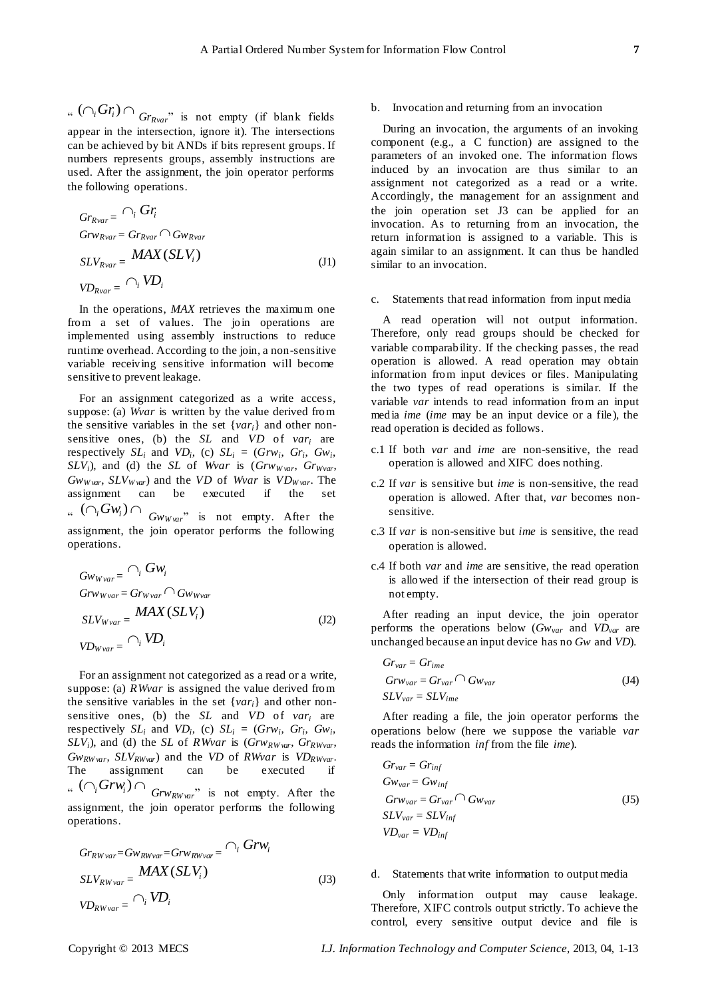$\alpha$  ( $\bigcap_i G_{i}$ )  $\bigcap G_{r_{Rvar}}$  is not empty (if blank fields) appear in the intersection, ignore it). The intersections can be achieved by bit ANDs if bits represent groups. If numbers represents groups, assembly instructions are used. After the assignment, the join operator performs the following operations.

$$
Gr_{Rvar} = \bigcap_{i} Gr_{i}
$$
  
\n
$$
Gr_{Rvar} = Gr_{Rvar} \cap G_{W_{Rvar}}
$$
  
\n
$$
SLV_{Rvar} = MAX(SLV_{i})
$$
  
\n
$$
VD_{Rvar} = \bigcap_{i} VD_{i}
$$
\n(11)

In the operations, *MAX* retrieves the maximum one from a set of values. The join operations are implemented using assembly instructions to reduce runtime overhead. According to the join, a non-sensitive variable receiving sensitive information will become sensitive to prevent leakage.

For an assignment categorized as a write access, suppose: (a) *Wvar* is written by the value derived from the sensitive variables in the set  $\{var_i\}$  and other nonsensitive ones, (b) the *SL* and *VD* of *var<sup>i</sup>* are respectively  $SL_i$  and  $VD_i$ , (c)  $SL_i = (Grw_i, Gr_i, Gw_i)$ , *SLV*<sup>*i*</sup>), and (d) the *SL* of *Wvar* is (*Grw*<sub>*Wvar</sub>*, *Grw*<sub>*var*</sub>,</sub>  $Gw_{W \text{var}}$ ,  $SLV_{W \text{var}}$ ) and the *VD* of *Wvar* is  $VD_{W \text{var}}$ . The assignment can be executed if the set  $\lim_{\alpha}$  ( $\bigcap_i Gw_i$ )  $\bigcap_{i=1}^n Gw_{W \text{var}}$  is not empty. After the assignment, the join operator performs the following operations.

$$
G_{WWvar} = \bigcap_{i} G_{W_i}
$$
  
\n
$$
G_{TWWvar} = G_{TWvar} \cap G_{WWvar}
$$
  
\n
$$
SLV_{Wvar} = \bigcap_{i} MAX(SLV_i)
$$
  
\n
$$
VD_{Wvar} = \bigcap_{i} VD_i
$$
\n(12)

For an assignment not categorized as a read or a write, suppose: (a) *RWvar* is assigned the value derived from the sensitive variables in the set  $\{var_i\}$  and other nonsensitive ones, (b) the *SL* and *VD* of *var<sup>i</sup>* are respectively  $SL_i$  and  $VD_i$ , (c)  $SL_i = (Grw_i, Gr_i, Gw_i)$ , *SLVi*), and (d) the *SL* of *RWvar* is (*GrwRW var*, *GrRWvar*, *GwRW var*, *SLVRWvar*) and the *VD* of *RWvar* is *VDRWvar*. The assignment can be executed  $\sum_{i}^{\infty}$  ( $\cap_i Grw_i$ )  $\cap$   $Grw_{RW, var}$  is not empty. After the assignment, the join operator performs the following operations.

$$
Gr_{RW var} = Gw_{RW var} = Grw_{RW var} = \bigcap_{i} Grw_{i}
$$
  
\n
$$
SLV_{RW var} = \bigcap_{i} VD_{i}
$$
 (J3)  
\n
$$
VD_{RW var} = \bigcap_{i} VD_{i}
$$

## b. Invocation and returning from an invocation

During an invocation, the arguments of an invoking component (e.g., a C function) are assigned to the parameters of an invoked one. The information flows induced by an invocation are thus similar to an assignment not categorized as a read or a write. Accordingly, the management for an assignment and the join operation set J3 can be applied for an invocation. As to returning from an invocation, the return information is assigned to a variable. This is again similar to an assignment. It can thus be handled similar to an invocation.

## c. Statements that read information from input media

A read operation will not output information. Therefore, only read groups should be checked for variable comparability. If the checking passes, the read operation is allowed. A read operation may obtain information from input devices or files. Manipulating the two types of read operations is similar. If the variable *var* intends to read information from an input media *ime* (*ime* may be an input device or a file), the read operation is decided as follows.

- c.1 If both *var* and *ime* are non-sensitive, the read operation is allowed and XIFC does nothing.
- c.2 If *var* is sensitive but *ime* is non-sensitive, the read operation is allowed. After that, *var* becomes nonsensitive.
- c.3 If *var* is non-sensitive but *ime* is sensitive, the read operation is allowed.
- c.4 If both *var* and *ime* are sensitive, the read operation is allowed if the intersection of their read group is not empty.

After reading an input device, the join operator performs the operations below (*Gwvar* and *VDvar* are unchanged because an input device has no *Gw* and *VD*).

$$
Gr_{var} = Gr_{ime}
$$
  
\n
$$
Grw_{var} = Gr_{var} \cap Gw_{var}
$$
  
\n
$$
SLV_{var} = SLV_{ime}
$$
\n(14)

After reading a file, the join operator performs the operations below (here we suppose the variable *var* reads the information *inf* from the file *ime*).

$$
Gr_{var} = Gr_{inf}
$$
  
\n
$$
Gw_{var} = Gw_{inf}
$$
  
\n
$$
Grw_{var} = Gr_{var} \cap Gw_{var}
$$
  
\n
$$
SLV_{var} = SLV_{inf}
$$
  
\n
$$
VD_{var} = VD_{inf}
$$
\n(15)

# d. Statements that write information to output media

Only information output may cause leakage. Therefore, XIFC controls output strictly. To achieve the control, every sensitive output device and file is

Copyright © 2013 MECS *I.J. Information Technology and Computer Science,* 2013, 04, 1-13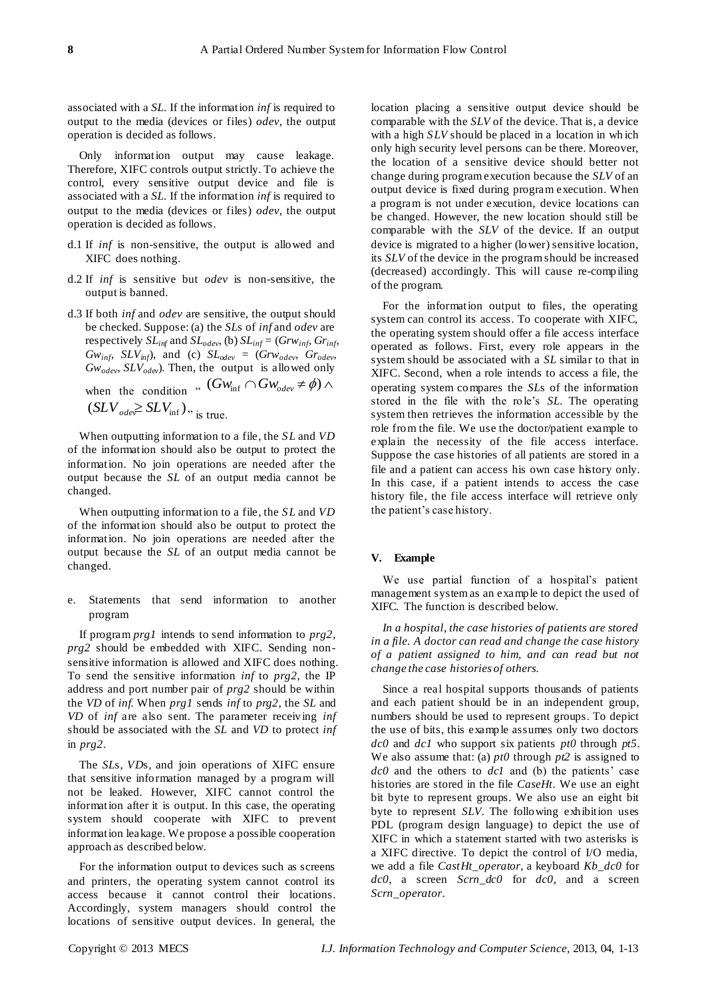associated with a *SL*. If the information *inf* is required to output to the media (devices or files) *odev*, the output operation is decided as follows.

Only information output may cause leakage. Therefore, XIFC controls output strictly. To achieve the control, every sensitive output device and file is associated with a *SL*. If the information *inf* is required to output to the media (devices or files) *odev*, the output operation is decided as follows.

- d.1 If *inf* is non-sensitive, the output is allowed and XIFC does nothing.
- d.2 If *inf* is sensitive but *odev* is non-sensitive, the output is banned.
- d.3 If both *inf* and *odev* are sensitive, the output should be checked. Suppose: (a) the *SL*s of *inf* and *odev* are respectively  $SL_{inf}$  and  $SL_{odev}$ , (b)  $SL_{inf} = (Grw_{inf}, Gr_{inf})$  $Gw_{\text{inf}}$ ,  $SLV_{\text{inf}}$ ), and (c)  $SL_{\text{odev}} = (Grw_{\text{odev}}, Gr_{\text{odev}})$ *Gwodev*, *SLVodev*). Then, the output is allowed only when the condition  $\int_{0}^{R} (Gw_{\text{inf}} \cap Gw_{\text{odev}} \neq \phi) \wedge$  $(SLV_{ode} \geq SLV_{\text{inf}})$ <sup>2</sup> is true.

When outputting information to a file, the *SL* and *VD* of the information should also be output to protect the information. No join operations are needed after the output because the *SL* of an output media cannot be changed.

When outputting information to a file, the *SL* and *VD* of the information should also be output to protect the information. No join operations are needed after the output because the *SL* of an output media cannot be changed.

e. Statements that send information to another program

If program *prg1* intends to send information to *prg2*, *prg2* should be embedded with XIFC. Sending nonsensitive information is allowed and XIFC does nothing. To send the sensitive information *inf* to *prg2*, the IP address and port number pair of *prg2* should be within the *VD* of *inf*. When *prg1* sends *inf* to *prg2*, the *SL* and *VD* of *inf* are also sent. The parameter receiving *inf* should be associated with the *SL* and *VD* to protect *inf* in *prg2*.

The *SL*s, *VD*s, and join operations of XIFC ensure that sensitive information managed by a program will not be leaked. However, XIFC cannot control the information after it is output. In this case, the operating system should cooperate with XIFC to prevent information leakage. We propose a possible cooperation approach as described below.

For the information output to devices such as screens and printers, the operating system cannot control its access because it cannot control their locations. Accordingly, system managers should control the locations of sensitive output devices. In general, the

location placing a sensitive output device should be comparable with the *SLV* of the device. That is, a device with a high *SLV* should be placed in a location in wh ich only high security level persons can be there. Moreover, the location of a sensitive device should better not change during program execution because the *SLV* of an output device is fixed during program execution. When a program is not under execution, device locations can be changed. However, the new location should still be comparable with the *SLV* of the device. If an output device is migrated to a higher (lower) sensitive location, its *SLV* of the device in the program should be increased (decreased) accordingly. This will cause re-compiling of the program.

For the information output to files, the operating system can control its access. To cooperate with XIFC, the operating system should offer a file access interface operated as follows. First, every role appears in the system should be associated with a *SL* similar to that in XIFC. Second, when a role intends to access a file, the operating system compares the *SL*s of the information stored in the file with the role's *SL*. The operating system then retrieves the information accessible by the role from the file. We use the doctor/patient example to explain the necessity of the file access interface. Suppose the case histories of all patients are stored in a file and a patient can access his own case history only. In this case, if a patient intends to access the case history file, the file access interface will retrieve only the patient's case history.

## **V. Example**

We use partial function of a hospital's patient management system as an example to depict the used of XIFC. The function is described below.

*In a hospital, the case histories of patients are stored in a file. A doctor can read and change the case history of a patient assigned to him, and can read but not change the case histories of others.*

Since a real hospital supports thousands of patients and each patient should be in an independent group, numbers should be used to represent groups. To depict the use of bits, this example assumes only two doctors *dc0* and *dc1* who support six patients *pt0* through *pt5*. We also assume that: (a) *pt0* through *pt2* is assigned to *dc0* and the others to *dc1* and (b) the patients' case histories are stored in the file *CaseHt*. We use an eight bit byte to represent groups. We also use an eight bit byte to represent *SLV*. The following exhibition uses PDL (program design language) to depict the use of XIFC in which a statement started with two asterisks is a XIFC directive. To depict the control of I/O media, we add a file *CastHt\_operator*, a keyboard *Kb\_dc0* for *dc0*, a screen *Scrn\_dc0* for *dc0*, and a screen *Scrn\_operator*.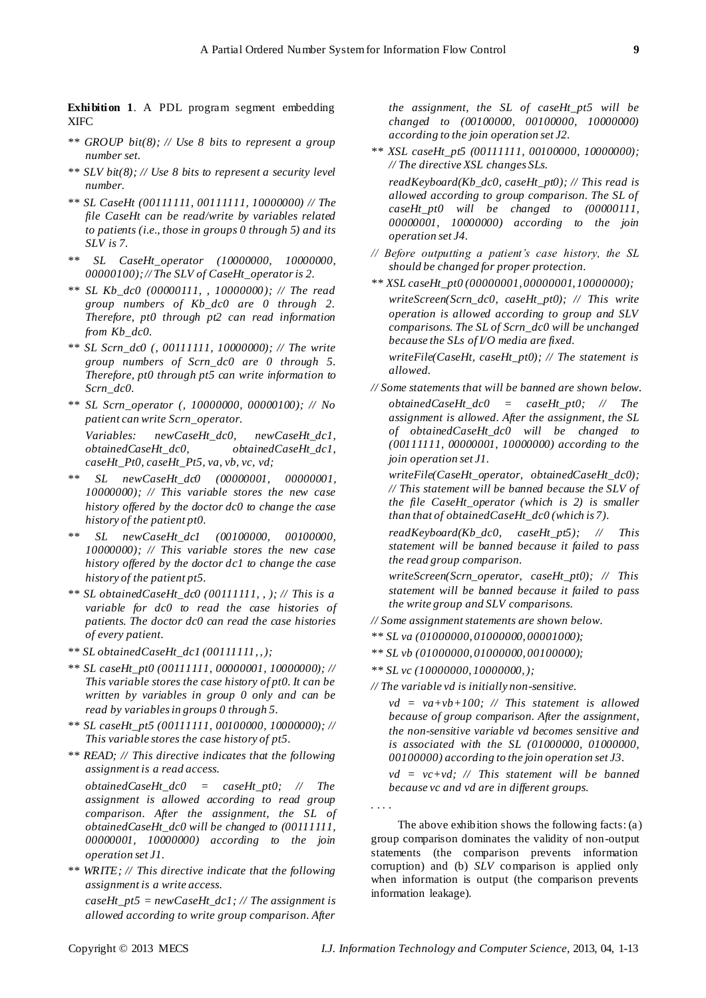**Exhibition 1**. A PDL program segment embedding XIFC

- *\*\* GROUP bit(8); // Use 8 bits to represent a group number set.*
- *\*\* SLV bit(8); // Use 8 bits to represent a security level number.*
- *\*\* SL CaseHt (00111111, 00111111, 10000000) // The file CaseHt can be read/write by variables related to patients (i.e., those in groups 0 through 5) and its SLV is 7.*
- *\*\* SL CaseHt\_operator (10000000, 10000000, 00000100); // The SLV of CaseHt\_operator is 2.*
- *\*\* SL Kb\_dc0 (00000111, , 10000000); // The read group numbers of Kb\_dc0 are 0 through 2. Therefore, pt0 through pt2 can read information from Kb\_dc0.*
- *\*\* SL Scrn\_dc0 (, 00111111, 10000000); // The write group numbers of Scrn\_dc0 are 0 through 5. Therefore, pt0 through pt5 can write information to Scrn\_dc0.*
- *\*\* SL Scrn\_operator (, 10000000, 00000100); // No patient can write Scrn\_operator. Variables: newCaseHt\_dc0, newCaseHt\_dc1, obtainedCaseHt\_dc0, obtainedCaseHt\_dc1, caseHt\_Pt0, caseHt\_Pt5, va, vb, vc, vd;*
- *\*\* SL newCaseHt\_dc0 (00000001, 00000001, 10000000); // This variable stores the new case history offered by the doctor dc0 to change the case history of the patient pt0.*
- *\*\* SL newCaseHt\_dc1 (00100000, 00100000, 10000000); // This variable stores the new case history offered by the doctor dc1 to change the case history of the patient pt5.*
- *\*\* SL obtainedCaseHt\_dc0 (00111111, , ); // This is a variable for dc0 to read the case histories of patients. The doctor dc0 can read the case histories of every patient.*
- *\*\* SL obtainedCaseHt\_dc1 (00111111, , );*
- *\*\* SL caseHt\_pt0 (00111111, 00000001, 10000000); // This variable stores the case history of pt0. It can be written by variables in group 0 only and can be read by variables in groups 0 through 5.*
- *\*\* SL caseHt\_pt5 (00111111, 00100000, 10000000); // This variable stores the case history of pt5.*
- *\*\* READ; // This directive indicates that the following assignment is a read access.*

*obtainedCaseHt\_dc0 = caseHt\_pt0; // The assignment is allowed according to read group comparison. After the assignment, the SL of obtainedCaseHt\_dc0 will be changed to (00111111, 00000001, 10000000) according to the join operation set J1.*

*\*\* WRITE; // This directive indicate that the following assignment is a write access.*

*caseHt\_pt5 = newCaseHt\_dc1; // The assignment is allowed according to write group comparison. After* 

*the assignment, the SL of caseHt\_pt5 will be changed to (00100000, 00100000, 10000000) according to the join operation set J2.*

*\*\* XSL caseHt\_pt5 (00111111, 00100000, 10000000); // The directive XSL changes SLs.*

*readKeyboard(Kb\_dc0, caseHt\_pt0); // This read is allowed according to group comparison. The SL of caseHt\_pt0 will be changed to (00000111, 00000001, 10000000) according to the join operation set J4.*

- *// Before outputting a patient's case history, the SL should be changed for proper protection.*
- *\*\* XSL caseHt\_pt0 (00000001, 00000001, 10000000); writeScreen(Scrn\_dc0, caseHt\_pt0); // This write operation is allowed according to group and SLV comparisons. The SL of Scrn\_dc0 will be unchanged*

*because the SLs of I/O media are fixed. writeFile(CaseHt, caseHt\_pt0); // The statement is allowed.*

*// Some statements that will be banned are shown below. obtainedCaseHt\_dc0 = caseHt\_pt0; // The assignment is allowed. After the assignment, the SL of obtainedCaseHt\_dc0 will be changed to (00111111, 00000001, 10000000) according to the join operation set J1.*

*writeFile(CaseHt\_operator, obtainedCaseHt\_dc0); // This statement will be banned because the SLV of the file CaseHt\_operator (which is 2) is smaller than that of obtainedCaseHt\_dc0 (which is 7).*

*readKeyboard(Kb\_dc0, caseHt\_pt5); // This statement will be banned because it failed to pass the read group comparison.*

*writeScreen(Scrn\_operator, caseHt\_pt0); // This statement will be banned because it failed to pass the write group and SLV comparisons.*

*// Some assignment statements are shown below.*

*\*\* SL va (01000000, 01000000, 00001000);*

- *\*\* SL vb (01000000, 01000000, 00100000);*
- *\*\* SL vc (10000000, 10000000, );*

*// The variable vd is initially non-sensitive.*

*vd = va+vb+100; // This statement is allowed because of group comparison. After the assignment, the non-sensitive variable vd becomes sensitive and is associated with the SL (01000000, 01000000, 00100000) according to the join operation set J3.*

*vd = vc+vd; // This statement will be banned because vc and vd are in different groups.*

*. . . .*

The above exhibition shows the following facts: (a) group comparison dominates the validity of non-output statements (the comparison prevents information corruption) and (b) *SLV* comparison is applied only when information is output (the comparison prevents information leakage).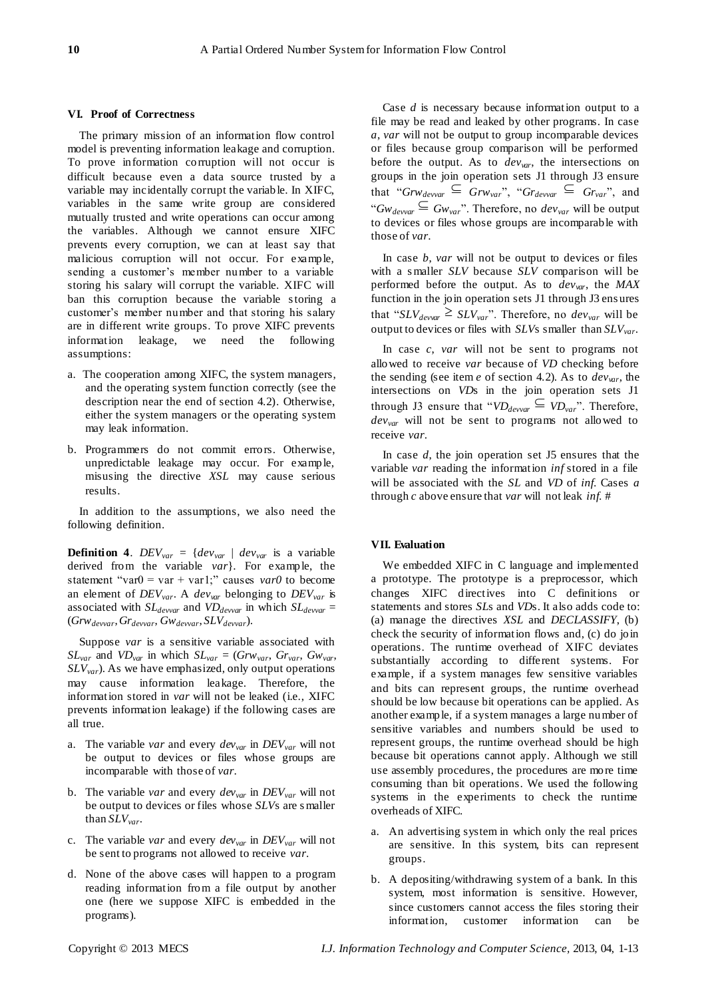# **VI. Proof of Correctness**

The primary mission of an information flow control model is preventing information leakage and corruption. To prove information corruption will not occur is difficult because even a data source trusted by a variable may incidentally corrupt the variable. In XIFC, variables in the same write group are considered mutually trusted and write operations can occur among the variables. Although we cannot ensure XIFC prevents every corruption, we can at least say that malicious corruption will not occur. For example, sending a customer's member number to a variable storing his salary will corrupt the variable. XIFC will ban this corruption because the variable storing a customer's member number and that storing his salary are in different write groups. To prove XIFC prevents information leakage, we need the following assumptions:

- a. The cooperation among XIFC, the system managers, and the operating system function correctly (see the description near the end of section 4.2). Otherwise, either the system managers or the operating system may leak information.
- b. Programmers do not commit errors. Otherwise, unpredictable leakage may occur. For example, misusing the directive *XSL* may cause serious results.

In addition to the assumptions, we also need the following definition.

**Definition 4.**  $DEV_{var} = \{dev_{var} \mid dev_{var}$  is a variable derived from the variable *var*}. For example, the statement "var $0 = \text{var} + \text{var}1$ ;" causes *var0* to become an element of *DEVvar*. A *devvar* belonging to *DEVvar* is associated with  $SL_{devvar}$  and  $VD_{devvar}$  in which  $SL_{devvar}$  = (*Grwdevvar*, *Grdevvar*, *Gwdevvar*, *SLVdevvar*).

Suppose *var* is a sensitive variable associated with *SL*<sub>*var</sub>* and *VD*<sub>*var*</sub> in which *SL*<sub>*var*</sub> = (*Grw*<sub>*var*</sub>, *Gr<sub>var</sub>*, *Gw*<sub>*var*</sub>,</sub> *SLVvar*). As we have emphasized, only output operations may cause information leakage. Therefore, the information stored in *var* will not be leaked (i.e., XIFC prevents information leakage) if the following cases are all true.

- The variable *var* and every  $dev_{var}$  in  $DEV_{var}$  will not be output to devices or files whose groups are incomparable with those of *var*.
- b. The variable *var* and every *devvar* in *DEVvar* will not be output to devices or files whose *SLV*s are s maller than *SLVvar*.
- c. The variable *var* and every *devvar* in *DEVvar* will not be sent to programs not allowed to receive *var*.
- d. None of the above cases will happen to a program reading information from a file output by another one (here we suppose XIFC is embedded in the programs).

Case *d* is necessary because information output to a file may be read and leaked by other programs. In case *a*, *var* will not be output to group incomparable devices or files because group comparison will be performed before the output. As to  $dev_{var}$ , the intersections on groups in the join operation sets J1 through J3 ensure that " $Grw_{devvar} \subseteq Grw_{var}$ ", " $Gr_{devvar} \subseteq Gr_{var}$ ", and " $Gw_{devvar} \subseteq Gw_{var}$ ". Therefore, no  $dev_{var}$  will be output to devices or files whose groups are incomparable with those of *var*.

In case *b*, *var* will not be output to devices or files with a s maller *SLV* because *SLV* comparison will be performed before the output. As to *devvar*, the *MAX* function in the join operation sets J1 through J3 ens ures that " $SLV_{devvar} \geq SLV_{var}$ ". Therefore, no *dev<sub>var</sub>* will be output to devices or files with *SLV*s smaller than *SLVvar*.

In case *c*, *var* will not be sent to programs not allowed to receive *var* because of *VD* checking before the sending (see item *e* of section 4.2). As to  $dev_{\text{var}}$ , the intersections on *VD*s in the join operation sets J1 through J3 ensure that " $VD_{devvar} \subseteq VD_{var}$ ". Therefore, *devvar* will not be sent to programs not allowed to receive *var*.

In case *d*, the join operation set J5 ensures that the variable *var* reading the information *inf* stored in a file will be associated with the *SL* and *VD* of *inf*. Cases *a* through *c* above ensure that *var* will not leak *inf*. #

# **VII. Evaluation**

We embedded XIFC in C language and implemented a prototype. The prototype is a preprocessor, which changes XIFC directives into C definitions or statements and stores *SL*s and *VD*s. It also adds code to: (a) manage the directives *XSL* and *DECLASSIFY*, (b) check the security of information flows and, (c) do join operations. The runtime overhead of XIFC deviates substantially according to different systems. For example, if a system manages few sensitive variables and bits can represent groups, the runtime overhead should be low because bit operations can be applied. As another example, if a system manages a large number of sensitive variables and numbers should be used to represent groups, the runtime overhead should be high because bit operations cannot apply. Although we still use assembly procedures, the procedures are more time consuming than bit operations. We used the following systems in the experiments to check the runtime overheads of XIFC.

- a. An advertising system in which only the real prices are sensitive. In this system, bits can represent groups.
- b. A depositing/withdrawing system of a bank. In this system, most information is sensitive. However, since customers cannot access the files storing their information, customer information can be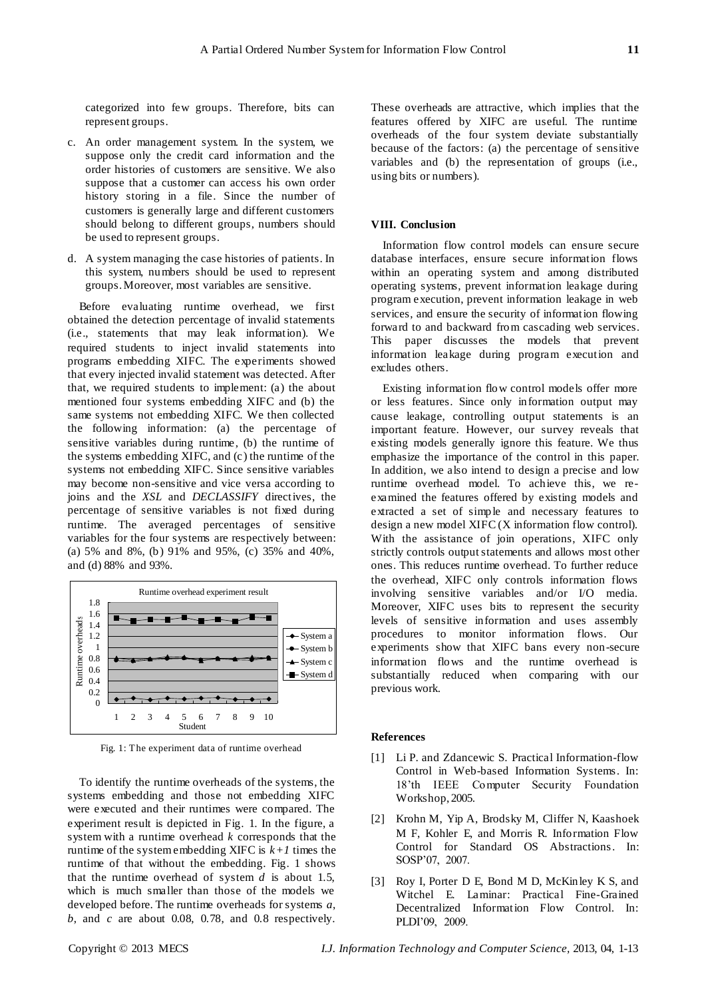categorized into few groups. Therefore, bits can represent groups.

- c. An order management system. In the system, we suppose only the credit card information and the order histories of customers are sensitive. We also suppose that a customer can access his own order history storing in a file. Since the number of customers is generally large and different customers should belong to different groups, numbers should be used to represent groups.
- d. A system managing the case histories of patients. In this system, numbers should be used to represent groups. Moreover, most variables are sensitive.

Before evaluating runtime overhead, we first obtained the detection percentage of invalid statements (i.e., statements that may leak information). We required students to inject invalid statements into programs embedding XIFC. The experiments showed that every injected invalid statement was detected. After that, we required students to implement: (a) the about mentioned four systems embedding XIFC and (b) the same systems not embedding XIFC. We then collected the following information: (a) the percentage of sensitive variables during runtime, (b) the runtime of the systems embedding XIFC, and (c) the runtime of the systems not embedding XIFC. Since sensitive variables may become non-sensitive and vice versa according to joins and the *XSL* and *DECLASSIFY* directives, the percentage of sensitive variables is not fixed during runtime. The averaged percentages of sensitive variables for the four systems are respectively between: (a) 5% and 8%, (b) 91% and 95%, (c) 35% and 40%, and (d) 88% and 93%.



Fig. 1: The experiment data of runtime overhead

To identify the runtime overheads of the systems, the systems embedding and those not embedding XIFC were executed and their runtimes were compared. The experiment result is depicted in Fig. 1. In the figure, a system with a runtime overhead *k* corresponds that the runtime of the system embedding XIFC is  $k+1$  times the runtime of that without the embedding. Fig. 1 shows that the runtime overhead of system *d* is about 1.5, which is much smaller than those of the models we developed before. The runtime overheads for systems *a*, *b*, and *c* are about 0.08, 0.78, and 0.8 respectively.

These overheads are attractive, which implies that the features offered by XIFC are useful. The runtime overheads of the four system deviate substantially because of the factors: (a) the percentage of sensitive variables and (b) the representation of groups (i.e., using bits or numbers).

# **VIII. Conclusion**

Information flow control models can ensure secure database interfaces, ensure secure information flows within an operating system and among distributed operating systems, prevent information leakage during program execution, prevent information leakage in web services, and ensure the security of information flowing forward to and backward from cascading web services. This paper discusses the models that prevent information leakage during program execution and excludes others.

Existing information flow control models offer more or less features. Since only information output may cause leakage, controlling output statements is an important feature. However, our survey reveals that existing models generally ignore this feature. We thus emphasize the importance of the control in this paper. In addition, we also intend to design a precise and low runtime overhead model. To achieve this, we reexamined the features offered by existing models and extracted a set of simple and necessary features to design a new model XIFC (X information flow control). With the assistance of join operations, XIFC only strictly controls output statements and allows most other ones. This reduces runtime overhead. To further reduce the overhead, XIFC only controls information flows involving sensitive variables and/or I/O media. Moreover, XIFC uses bits to represent the security levels of sensitive information and uses assembly procedures to monitor information flows. Our experiments show that XIFC bans every non-secure information flows and the runtime overhead is substantially reduced when comparing with our previous work.

## **References**

- [1] Li P. and Zdancewic S. Practical Information-flow Control in Web-based Information Systems. In: 18'th IEEE Computer Security Foundation Workshop, 2005.
- [2] Krohn M, Yip A, Brodsky M, Cliffer N, Kaashoek M F, Kohler E, and Morris R. Information Flow Control for Standard OS Abstractions. In: SOSP'07, 2007.
- [3] Roy I, Porter D E, Bond M D, McKinley K S, and Witchel E. Laminar: Practical Fine-Grained Decentralized Information Flow Control. In: PLDI'09, 2009.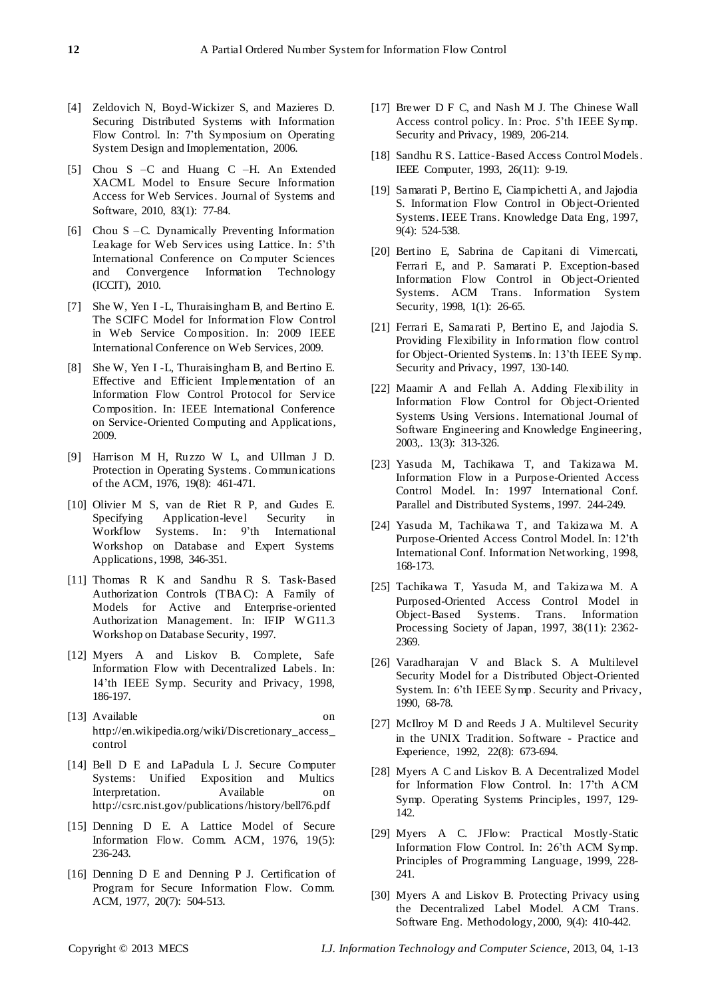- [4] Zeldovich N, Boyd-Wickizer S, and Mazieres D. Securing Distributed Systems with Information Flow Control. In: 7'th Symposium on Operating System Design and Imoplementation, 2006.
- [5] Chou S –C and Huang C –H. An Extended XACML Model to Ensure Secure Information Access for Web Services. Journal of Systems and Software, 2010, 83(1): 77-84.
- [6] Chou S –C. Dynamically Preventing Information Leakage for Web Services using Lattice. In: 5'th International Conference on Computer Sciences and Convergence Information Technology (ICCIT), 2010.
- [7] She W, Yen I -L, Thuraisingham B, and Bertino E. The SCIFC Model for Information Flow Control in Web Service Composition. In: 2009 IEEE International Conference on Web Services, 2009.
- [8] She W, Yen I -L, Thuraisingham B, and Bertino E. Effective and Efficient Implementation of an Information Flow Control Protocol for Service Composition. In: IEEE International Conference on Service-Oriented Computing and Applications, 2009.
- [9] Harrison M H, Ruzzo W L, and Ullman J D. Protection in Operating Systems. Communications of the ACM, 1976, 19(8): 461-471.
- [10] Olivier M S, van de Riet R P, and Gudes E. Specifying Application-level Security in Workflow Systems. In: 9'th International Workshop on Database and Expert Systems Applications, 1998, 346-351.
- [11] Thomas R K and Sandhu R S. Task-Based Authorization Controls (TBAC): A Family of Models for Active and Enterprise-oriented Authorization Management. In: IFIP W G11.3 Workshop on Database Security, 1997.
- [12] Myers A and Liskov B. Complete, Safe Information Flow with Decentralized Labels. In: 14'th IEEE Symp. Security and Privacy, 1998, 186-197.
- [13] Available on http://en.wikipedia.org/wiki/Discretionary\_access\_ control
- [14] Bell D E and LaPadula L J. Secure Computer Systems: Unified Exposition and Multics Interpretation. Available on http://csrc.nist.gov/publications/history/bell76.pdf
- [15] Denning D E. A Lattice Model of Secure Information Flow. Comm. ACM, 1976, 19(5): 236-243.
- [16] Denning D E and Denning P J. Certification of Program for Secure Information Flow. Comm. ACM, 1977, 20(7): 504-513.
- [17] Brewer D F C, and Nash M J. The Chinese Wall Access control policy. In: Proc. 5'th IEEE Symp. Security and Privacy, 1989, 206-214.
- [18] Sandhu R S. Lattice-Based Access Control Models. IEEE Computer, 1993, 26(11): 9-19.
- [19] Samarati P, Bertino E, Ciampichetti A, and Jajodia S. Information Flow Control in Object-Oriented Systems. IEEE Trans. Knowledge Data Eng, 1997, 9(4): 524-538.
- [20] Bertino E, Sabrina de Capitani di Vimercati, Ferrari E, and P. Samarati P. Exception-based Information Flow Control in Object-Oriented Systems. ACM Trans. Information System Security, 1998, 1(1): 26-65.
- [21] Ferrari E, Samarati P, Bertino E, and Jajodia S. Providing Flexibility in Information flow control for Object-Oriented Systems. In: 13'th IEEE Symp. Security and Privacy, 1997, 130-140.
- [22] Maamir A and Fellah A. Adding Flexibility in Information Flow Control for Object-Oriented Systems Using Versions. International Journal of Software Engineering and Knowledge Engineering, 2003,. 13(3): 313-326.
- [23] Yasuda M, Tachikawa T, and Takizawa M. Information Flow in a Purpose-Oriented Access Control Model. In: 1997 International Conf. Parallel and Distributed Systems, 1997. 244-249.
- [24] Yasuda M, Tachikawa T, and Takizawa M. A Purpose-Oriented Access Control Model. In: 12'th International Conf. Information Networking, 1998, 168-173.
- [25] Tachikawa T, Yasuda M, and Takizawa M. A Purposed-Oriented Access Control Model in Object-Based Systems. Trans. Information Processing Society of Japan, 1997, 38(11): 2362- 2369.
- [26] Varadharajan V and Black S. A Multilevel Security Model for a Distributed Object-Oriented System. In: 6'th IEEE Symp. Security and Privacy, 1990, 68-78.
- [27] McIlroy M D and Reeds J A. Multilevel Security in the UNIX Tradition. Software - Practice and Experience, 1992, 22(8): 673-694.
- [28] Myers A C and Liskov B. A Decentralized Model for Information Flow Control. In: 17'th ACM Symp. Operating Systems Principles, 1997, 129- 142.
- [29] Myers A C. JFlow: Practical Mostly-Static Information Flow Control. In: 26'th ACM Symp. Principles of Programming Language, 1999, 228- 241.
- [30] Myers A and Liskov B. Protecting Privacy using the Decentralized Label Model. ACM Trans. Software Eng. Methodology, 2000, 9(4): 410-442.